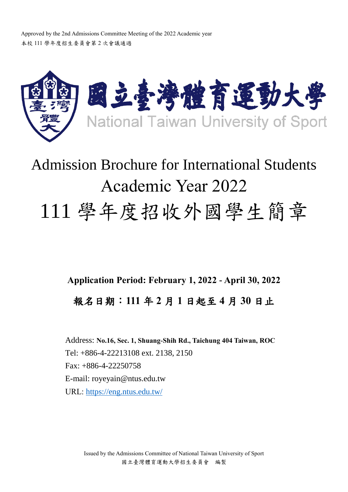Approved by the 2nd Admissions Committee Meeting of the 2022 Academic year 本校 111 學年度招生委員會第 2 次會議通過



# Admission Brochure for International Students Academic Year 2022 111 學年度招收外國學生簡章

**Application Period: February 1, 2022 - April 30, 2022** 報名日期:**111** 年 **2** 月 **1** 日起至 **4** 月 **30** 日止

Address: **No.16, Sec. 1, Shuang-Shih Rd., Taichung 404 Taiwan, ROC** Tel: +886-4-22213108 ext. 2138, 2150 Fax: +886-4-22250758 E-mail: royeyain@ntus.edu.tw URL:<https://eng.ntus.edu.tw/>

Issued by the Admissions Committee of National Taiwan University of Sport 國立臺灣體育運動大學招生委員會 編製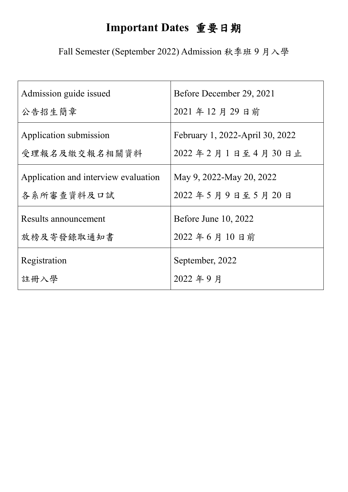# **Important Dates** 重要日期

Fall Semester (September 2022) Admission 秋季班 9 月入學

| Admission guide issued               | Before December 29, 2021        |
|--------------------------------------|---------------------------------|
| 公告招生簡章                               | 2021年12月29日前                    |
| Application submission               | February 1, 2022-April 30, 2022 |
| 受理報名及繳交報名相關資料                        | 2022年2月1日至4月30日止                |
| Application and interview evaluation | May 9, 2022-May 20, 2022        |
| 各系所審查資料及口試                           | 2022年5月9日至5月20日                 |
| Results announcement                 | <b>Before June 10, 2022</b>     |
| 放榜及寄發錄取通知書                           | 2022年6月10日前                     |
| Registration                         | September, 2022                 |
| 註冊入學                                 | 2022年9月                         |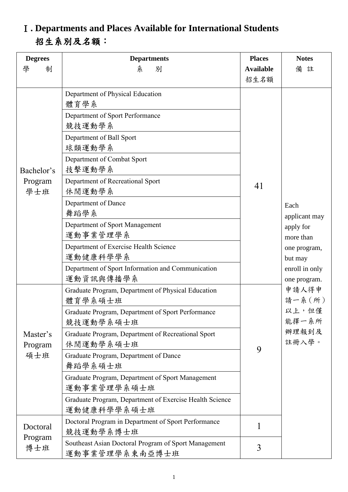### Ⅰ**. Departments and Places Available for International Students** 招生系別及名額:

| <b>Degrees</b><br>制<br>學 | <b>Departments</b><br>別<br>糸                                           | <b>Places</b><br><b>Available</b> | <b>Notes</b><br>備<br>註                                                     |
|--------------------------|------------------------------------------------------------------------|-----------------------------------|----------------------------------------------------------------------------|
|                          |                                                                        | 招生名額                              |                                                                            |
|                          | Department of Physical Education<br>體育學系                               |                                   |                                                                            |
|                          | Department of Sport Performance<br>競技運動學系                              |                                   |                                                                            |
|                          | Department of Ball Sport<br>球類運動學系                                     |                                   |                                                                            |
| Bachelor's               | Department of Combat Sport<br>技擊運動學系                                   |                                   |                                                                            |
| Program<br>學士班           | Department of Recreational Sport<br>休閒運動學系                             | 41                                |                                                                            |
|                          | Department of Dance<br>舞蹈學系                                            |                                   | Each<br>applicant may<br>apply for<br>more than<br>one program,<br>but may |
|                          | Department of Sport Management<br>運動事業管理學系                             |                                   |                                                                            |
|                          | Department of Exercise Health Science<br>運動健康科學學系                      |                                   |                                                                            |
|                          | Department of Sport Information and Communication<br>運動資訊與傳播學系         |                                   | enroll in only<br>one program.                                             |
|                          | Graduate Program, Department of Physical Education<br>體育學系碩士班          |                                   | 申請人得申<br>請一系(所)                                                            |
|                          | Graduate Program, Department of Sport Performance<br>競技運動學系碩士班         |                                   | 以上,但僅<br>能擇一系所                                                             |
| Master's<br>Program      | Graduate Program, Department of Recreational Sport<br>休閒運動學系碩士班        | 9                                 | 辦理報到及<br>註冊入學。                                                             |
| 碩士班                      | Graduate Program, Department of Dance<br>舞蹈學系碩士班                       |                                   |                                                                            |
|                          | Graduate Program, Department of Sport Management<br>運動事業管理學系碩士班        |                                   |                                                                            |
|                          | Graduate Program, Department of Exercise Health Science<br>運動健康科學學系碩士班 |                                   |                                                                            |
| Doctoral                 | Doctoral Program in Department of Sport Performance<br>競技運動學系博士班       | 1                                 |                                                                            |
| Program<br>博士班           | Southeast Asian Doctoral Program of Sport Management<br>運動事業管理學系東南亞博士班 | 3                                 |                                                                            |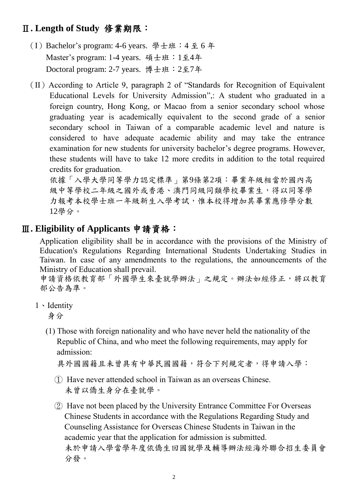#### Ⅱ**. Length of Study** 修業期限:

- (I)Bachelor's program: 4-6 years. 學士班:4 至 6 年 Master's program: 1-4 years. 碩士班:1至4年 Doctoral program: 2-7 years. 博士班:2至7年
- $(II)$  According to Article 9, paragraph 2 of "Standards for Recognition of Equivalent Educational Levels for University Admission",: A student who graduated in a foreign country, Hong Kong, or Macao from a senior secondary school whose graduating year is academically equivalent to the second grade of a senior secondary school in Taiwan of a comparable academic level and nature is considered to have adequate academic ability and may take the entrance examination for new students for university bachelor's degree programs. However, these students will have to take 12 more credits in addition to the total required credits for graduation.

依據「入學大學同等學力認定標準」第9條第2項:畢業年級相當於國內高 級中等學校二年級之國外或香港、澳門同級同類學校畢業生,得以同等學 力報考本校學士班一年級新生入學考試,惟本校得增加其畢業應修學分數 12學分。

#### Ⅲ**. Eligibility of Applicants** 申請資格:

Application eligibility shall be in accordance with the provisions of the Ministry of Education's Regulations Regarding International Students Undertaking Studies in Taiwan. In case of any amendments to the regulations, the announcements of the Ministry of Education shall prevail.

申請資格依教育部「外國學生來臺就學辦法」之規定。辦法如經修正,將以教育 部公告為準。

1、Identity

身分

(1) Those with foreign nationality and who have never held the nationality of the Republic of China, and who meet the following requirements, may apply for admission:

具外國國籍且未曾具有中華民國國籍,符合下列規定者,得申請入學:

- ① Have never attended school in Taiwan as an overseas Chinese. 未曾以僑生身分在臺就學。
- ② Have not been placed by the University Entrance Committee For Overseas Chinese Students in accordance with the Regulations Regarding Study and Counseling Assistance for Overseas Chinese Students in Taiwan in the academic year that the application for admission is submitted. 未於申請入學當學年度依僑生回國就學及輔導辦法經海外聯合招生委員會 分發。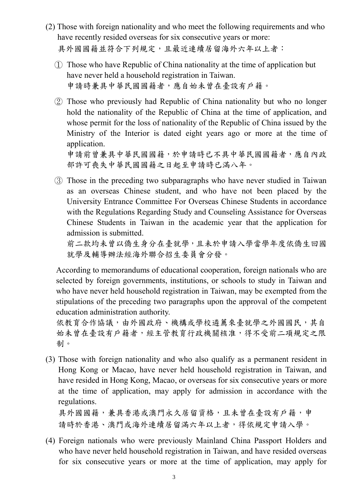- (2) Those with foreign nationality and who meet the following requirements and who have recently resided overseas for six consecutive years or more: 具外國國籍並符合下列規定,且最近連續居留海外六年以上者:
	- ① Those who have Republic of China nationality at the time of application but have never held a household registration in Taiwan. 申請時兼具中華民國國籍者,應自始未曾在臺設有戶籍。
	- ② Those who previously had Republic of China nationality but who no longer hold the nationality of the Republic of China at the time of application, and whose permit for the loss of nationality of the Republic of China issued by the Ministry of the Interior is dated eight years ago or more at the time of application. 申請前曾兼具中華民國國籍,於申請時已不具中華民國國籍者,應自內政

部許可喪失中華民國國籍之日起至申請時已滿八年。

③ Those in the preceding two subparagraphs who have never studied in Taiwan as an overseas Chinese student, and who have not been placed by the University Entrance Committee For Overseas Chinese Students in accordance with the Regulations Regarding Study and Counseling Assistance for Overseas Chinese Students in Taiwan in the academic year that the application for admission is submitted.

前二款均未曾以僑生身分在臺就學,且未於申請入學當學年度依僑生回國 就學及輔導辦法經海外聯合招生委員會分發。

According to memorandums of educational cooperation, foreign nationals who are selected by foreign governments, institutions, or schools to study in Taiwan and who have never held household registration in Taiwan, may be exempted from the stipulations of the preceding two paragraphs upon the approval of the competent education administration authority.

依教育合作協議,由外國政府、機構或學校遴薦來臺就學之外國國民,其自 始未曾在臺設有戶籍者,經主管教育行政機關核准,得不受前二項規定之限 制。

(3) Those with foreign nationality and who also qualify as a permanent resident in Hong Kong or Macao, have never held household registration in Taiwan, and have resided in Hong Kong, Macao, or overseas for six consecutive years or more at the time of application, may apply for admission in accordance with the regulations.

具外國國籍,兼具香港或澳門永久居留資格,且未曾在臺設有戶籍,申 請時於香港、澳門或海外連續居留滿六年以上者,得依規定申請入學。

(4) Foreign nationals who were previously Mainland China Passport Holders and who have never held household registration in Taiwan, and have resided overseas for six consecutive years or more at the time of application, may apply for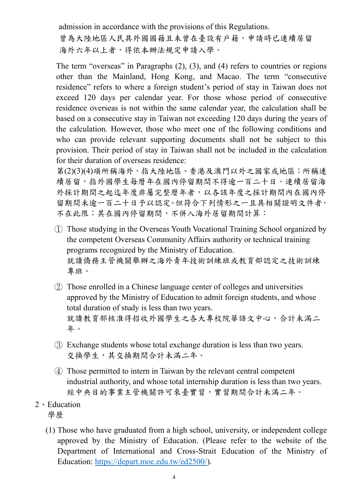admission in accordance with the provisions of this Regulations. 曾為大陸地區人民具外國國籍且未曾在臺設有戶籍,申請時已連續居留 海外六年以上者,得依本辦法規定申請入學。

The term "overseas" in Paragraphs (2), (3), and (4) refers to countries or regions other than the Mainland, Hong Kong, and Macao. The term "consecutive residence" refers to where a foreign student's period of stay in Taiwan does not exceed 120 days per calendar year. For those whose period of consecutive residence overseas is not within the same calendar year, the calculation shall be based on a consecutive stay in Taiwan not exceeding 120 days during the years of the calculation. However, those who meet one of the following conditions and who can provide relevant supporting documents shall not be subject to this provision. Their period of stay in Taiwan shall not be included in the calculation for their duration of overseas residence:

第(2)(3)(4)項所稱海外,指大陸地區、香港及澳門以外之國家或地區;所稱連 續居留,指外國學生每曆年在國內停留期間不得逾一百二十日。連續居留海 外採計期間之起迄年度非屬完整曆年者,以各該年度之採計期間內在國內停 留期間未逾一百二十日予以認定。但符合下列情形之一且具相關證明文件者, 不在此限;其在國內停留期間,不併入海外居留期間計算:

- ① Those studying in the Overseas Youth Vocational Training School organized by the competent Overseas Community Affairs authority or technical training programs recognized by the Ministry of Education. 就讀僑務主管機關舉辦之海外青年技術訓練班或教育部認定之技術訓練 專班。
- ② Those enrolled in a Chinese language center of colleges and universities approved by the Ministry of Education to admit foreign students, and whose total duration of study is less than two years. 就讀教育部核准得招收外國學生之各大專校院華語文中心,合計未滿二 年。
- ③ Exchange students whose total exchange duration is less than two years. 交換學生,其交換期間合計未滿二年。
- ④ Those permitted to intern in Taiwan by the relevant central competent industrial authority, and whose total internship duration is less than two years. 經中央目的事業主管機關許可來臺實習,實習期間合計未滿二年。
- 2、Education 學歷
	- (1) Those who have graduated from a high school, university, or independent college approved by the Ministry of Education. (Please refer to the website of the Department of International and Cross-Strait Education of the Ministry of Education: [https://depart.moe.edu.tw/ed2500/\)](https://depart.moe.edu.tw/ed2500/).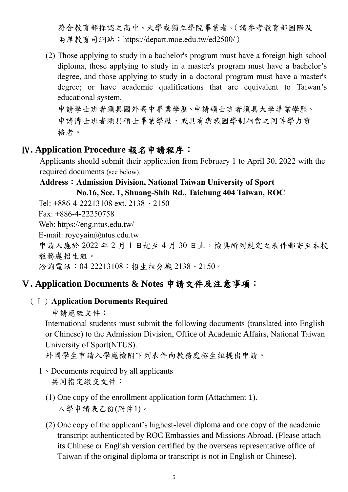符合教育部採認之高中、大學或獨立學院畢業者。(請參考教育部國際及 兩岸教育司網站:https://depart.moe.edu.tw/ed2500/)

(2) Those applying to study in a bachelor's program must have a foreign high school diploma, those applying to study in a master's program must have a bachelor's degree, and those applying to study in a doctoral program must have a master's degree; or have academic qualifications that are equivalent to Taiwan's educational system.

申請學士班者須具國外高中畢業學歷、申請碩士班者須具大學畢業學歷、 申請博士班者須具碩士畢業學歷,或具有與我國學制相當之同等學力資 格者。

#### Ⅳ**. Application Procedure** 報名申請程序:

Applicants should submit their application from February 1 to April 30, 2022 with the required documents (see below).

#### **Address**:**Admission Division, National Taiwan University of Sport**

#### **No.16, Sec. 1, Shuang-Shih Rd., Taichung 404 Taiwan, ROC**

Tel: +886-4-22213108 ext. 2138、2150

Fax: +886-4-22250758

Web: [https://eng.ntus.edu.tw/](https://eng.ntupes.edu.tw/)

E-mail: royeyain@ntus.edu.tw

申請人應於 2022年2月1日起至4月30日止,檢具所列規定之表件郵寄至本校 教務處招生組。

洽詢電話:04-22213108;招生組分機 2138、2150。

#### Ⅴ**. Application Documents & Notes** 申請文件及注意事項:

#### (Ⅰ)**Application Documents Required**

申請應繳文件:

International students must submit the following documents (translated into English or Chinese) to the Admission Division, Office of Academic Affairs, National Taiwan University of Sport(NTUS).

外國學生申請入學應檢附下列表件向教務處招生組提出申請。

- 1、Documents required by all applicants 共同指定繳交文件:
	- (1) One copy of the enrollment application form (Attachment 1). 入學申請表乙份(附件1)。
	- (2) One copy of the applicant's highest-level diploma and one copy of the academic transcript authenticated by ROC Embassies and Missions Abroad. (Please attach its Chinese or English version certified by the overseas representative office of Taiwan if the original diploma or transcript is not in English or Chinese).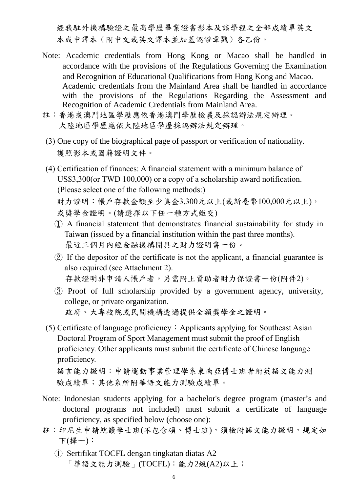經我駐外機構驗證之最高學歷畢業證書影本及該學程之全部成績單英文 本或中譯本(附中文或英文譯本並加蓋認證章戳)各乙份。

- Note: Academic credentials from Hong Kong or Macao shall be handled in accordance with the provisions of the Regulations Governing the Examination and Recognition of Educational Qualifications from Hong Kong and Macao. Academic credentials from the Mainland Area shall be handled in accordance with the provisions of the Regulations Regarding the Assessment and Recognition of Academic Credentials from Mainland Area.
- 註:香港或澳門地區學歷應依香港澳門學歷檢覈及採認辦法規定辦理。 大陸地區學歷應依大陸地區學歷採認辦法規定辦理。
- (3) One copy of the biographical page of passport or verification of nationality. 護照影本或國籍證明文件。
- (4) Certification of finances: A financial statement with a minimum balance of US\$3,300(or TWD 100,000) or a copy of a scholarship award notification. (Please select one of the following methods:) 財力證明:帳戶存款金額至少美金3,300元以上(或新臺幣100,000元以上), 或獎學金證明。(請選擇以下任一種方式繳交)
	- ① A financial statement that demonstrates financial sustainability for study in Taiwan (issued by a financial institution within the past three months). 最近三個月內經金融機構開具之財力證明書一份。
	- ② If the depositor of the certificate is not the applicant, a financial guarantee is also required (see Attachment 2). 存款證明非申請人帳戶者,另需附上資助者財力保證書一份(附件2)。
	- ③ Proof of full scholarship provided by a government agency, university, college, or private organization. 政府、大專校院或民間機構透過提供全額獎學金之證明。
- (5) Certificate of language proficiency: Applicants applying for Southeast Asian Doctoral Program of Sport Management must submit the proof of English proficiency. Other applicants must submit the certificate of Chinese language proficiency.

語言能力證明:申請運動事業管理學系東南亞博士班者附英語文能力測 驗成績單;其他系所附華語文能力測驗成績單。

- Note: Indonesian students applying for a bachelor's degree program (master's and doctoral programs not included) must submit a certificate of language proficiency, as specified below (choose one):
- 註:印尼生申請就讀學士班(不包含碩、博士班),須檢附語文能力證明,規定如 下(擇一):
	- ① Sertifikat TOCFL dengan tingkatan diatas A2 「華語文能力測驗」(TOCFL):能力2級(A2)以上;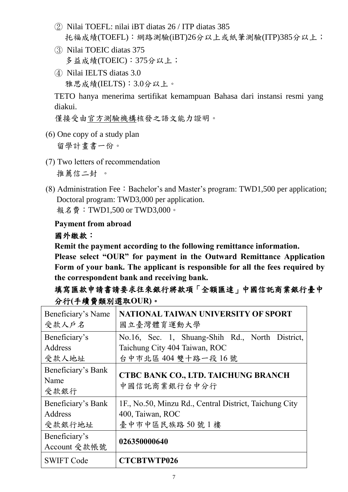- ② Nilai TOEFL: nilai iBT diatas 26 / ITP diatas 385 托福成績(TOEFL):網路測驗(iBT)26分以上或紙筆測驗(ITP)385分以上;
- ③ Nilai TOEIC diatas 375 多益成績(TOEIC): 375分以上;
- ④ Nilai IELTS diatas 3.0 雅思成績(IELTS):3.0分以上。

TETO hanya menerima sertifikat kemampuan Bahasa dari instansi resmi yang diakui.

僅接受由官方測驗機構核發之語文能力證明。

(6) One copy of a study plan

留學計畫書一份。

- (7) Two letters of recommendation 推薦信二封 。
- (8) Administration Fee: Bachelor's and Master's program: TWD1,500 per application; Doctoral program: TWD3,000 per application. 報名費:TWD1,500 or TWD3,000。

#### **Payment from abroad**

#### 國外繳款:

**Remit the payment according to the following remittance information.**

**Please select "OUR" for payment in the Outward Remittance Application Form of your bank. The applicant is responsible for all the fees required by the correspondent bank and receiving bank.** 

#### 填寫匯款申請書請要求往來銀行將款項「全額匯達」中國信託商業銀行臺中 分行**(**手續費類別選取**OUR)**。

| Beneficiary's Name                 | NATIONAL TAIWAN UNIVERSITY OF SPORT                    |
|------------------------------------|--------------------------------------------------------|
| 受款人户名                              | 國立臺灣體育運動大學                                             |
| Beneficiary's                      | No.16, Sec. 1, Shuang-Shih Rd., North District,        |
| Address                            | Taichung City 404 Taiwan, ROC                          |
| 受款人地址                              | 台中市北區 404 雙十路一段 16號                                    |
| Beneficiary's Bank<br>Name<br>受款銀行 | CTBC BANK CO., LTD. TAICHUNG BRANCH<br>中國信託商業銀行台中分行    |
| Beneficiary's Bank                 | 1F., No.50, Minzu Rd., Central District, Taichung City |
| Address                            | 400, Taiwan, ROC                                       |
| 受款銀行地址                             | 臺中市中區民族路50號1樓                                          |
| Beneficiary's<br>Account 受款帳號      | 026350000640                                           |
| <b>SWIFT Code</b>                  | <b>CTCBTWTP026</b>                                     |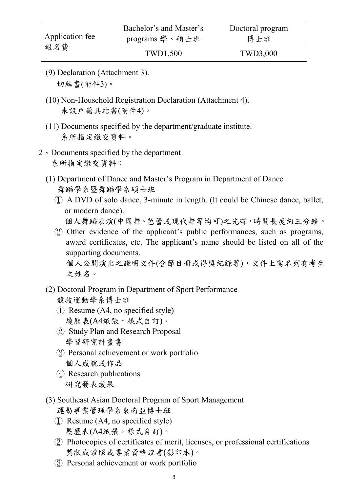- (9) Declaration (Attachment 3). 切結書(附件3)。
- (10) Non-Household Registration Declaration (Attachment 4). 未設戶籍具結書(附件4)。
- (11) Documents specified by the department/graduate institute. 系所指定繳交資料。
- 2、Documents specified by the department 系所指定繳交資料:
	- (1) Department of Dance and Master's Program in Department of Dance 舞蹈學系暨舞蹈學系碩士班
		- ① A DVD of solo dance, 3-minute in length. (It could be Chinese dance, ballet, or modern dance).
			- 個人舞蹈表演(中國舞、芭蕾或現代舞等均可)之光碟,時間長度約三分鐘。
		- ② Other evidence of the applicant's public performances, such as programs, award certificates, etc. The applicant's name should be listed on all of the supporting documents.

個人公開演出之證明文件(含節目冊或得獎紀錄等),文件上需名列有考生 之姓名。

- (2) Doctoral Program in Department of Sport Performance 競技運動學系博士班
	- ① Resume (A4, no specified style) 履歷表(A4紙張,樣式自訂)。
	- ② Study Plan and Research Proposal 學習研究計畫書
	- ③ Personal achievement or work portfolio 個人成就或作品
	- ④ Research publications 研究發表成果
- (3) Southeast Asian Doctoral Program of Sport Management 運動事業管理學系東南亞博士班
	- ① Resume (A4, no specified style) 履歷表(A4紙張,樣式自訂)。
	- ② Photocopies of certificates of merit, licenses, or professional certifications 獎狀或證照或專業資格證書(影印本)。
	- ③ Personal achievement or work portfolio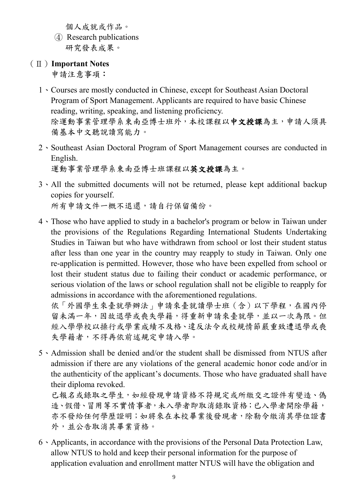個人成就或作品。

- ④ Research publications 研究發表成果。
- (Ⅱ)**Important Notes**

申請注意事項:

- 1、Courses are mostly conducted in Chinese, except for Southeast Asian Doctoral Program of Sport Management. Applicants are required to have basic Chinese reading, writing, speaking, and listening proficiency. 除運動事業管理學系東南亞博士班外,本校課程以中文授課為主,申請人須具 備基本中文聽說讀寫能力。
- 2、Southeast Asian Doctoral Program of Sport Management courses are conducted in English. 運動事業管理學系東南亞博士班課程以英文授課為主。
- 3、All the submitted documents will not be returned, please kept additional backup copies for yourself. 所有申請文件一概不退還,請自行保留備份。
- 4、Those who have applied to study in a bachelor's program or below in Taiwan under the provisions of the Regulations Regarding International Students Undertaking Studies in Taiwan but who have withdrawn from school or lost their student status after less than one year in the country may reapply to study in Taiwan. Only one re-application is permitted. However, those who have been expelled from school or lost their student status due to failing their conduct or academic performance, or serious violation of the laws or school regulation shall not be eligible to reapply for admissions in accordance with the aforementioned regulations.

依「外國學生來臺就學辦法」申請來臺就讀學士班(含)以下學程,在國內停 留未滿一年,因故退學或喪失學籍,得重新申請來臺就學,並以一次為限。但 經入學學校以操行或學業成績不及格、違反法令或校規情節嚴重致遭退學或喪 失學籍者,不得再依前述規定申請入學。

5、Admission shall be denied and/or the student shall be dismissed from NTUS after admission if there are any violations of the general academic honor code and/or in the authenticity of the applicant's documents. Those who have graduated shall have their diploma revoked.

已報名或錄取之學生,如經發現申請資格不符規定或所繳交之證件有變造、偽 造、假借、冒用等不實情事者,未入學者即取消錄取資格;已入學者開除學籍, 亦不發給任何學歷證明;如將來在本校畢業後發現者,除勒令繳消其學位證書 外,並公告取消其畢業資格。

6、Applicants, in accordance with the provisions of the Personal Data Protection Law, allow NTUS to hold and keep their personal information for the purpose of application evaluation and enrollment matter NTUS will have the obligation and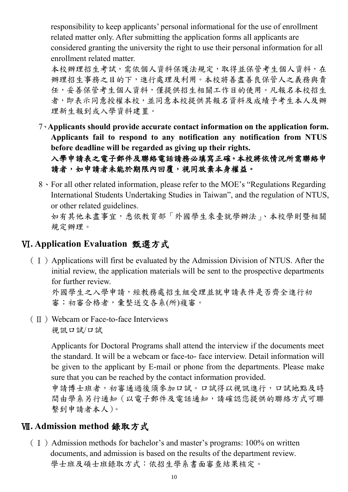responsibility to keep applicants' personal informational for the use of enrollment related matter only. After submitting the application forms all applicants are considered granting the university the right to use their personal information for all enrollment related matter.

本校辦理招生考試,需依個人資料保護法規定,取得並保管考生個人資料,在 辦理招生事務之目的下,進行處理及利用。本校將善盡善良保管人之義務與責 任,妥善保管考生個人資料,僅提供招生相關工作目的使用。凡報名本校招生 者,即表示同意授權本校,並同意本校提供其報名資料及成績予考生本人及辦 理新生報到或入學資料建置。

7、**Applicants should provide accurate contact information on the application form. Applicants fail to respond to any notification any notification from NTUS before deadline will be regarded as giving up their rights.**

入學申請表之電子郵件及聯絡電話請務必填寫正確。本校將依情況所需聯絡申 請者,如申請者未能於期限內回覆,視同放棄本身權益。

8、For all other related information, please refer to the MOE's "Regulations Regarding International Students Undertaking Studies in Taiwan", and the regulation of NTUS, or other related guidelines. 如有其他未盡事宜,悉依教育部「外國學生來臺就學辦法」、本校學則暨相關 規定辦理。

#### Ⅵ**. Application Evaluation** 甄選方式

(Ⅰ)Applications will first be evaluated by the Admission Division of NTUS. After the initial review, the application materials will be sent to the prospective departments for further review.

外國學生之入學申請,經教務處招生組受理並就申請表件是否齊全進行初 審;初審合格者,彙整送交各系(所)複審。

(Ⅱ)Webcam or Face-to-face Interviews 視訊口試/口試

> Applicants for Doctoral Programs shall attend the interview if the documents meet the standard. It will be a webcam or face-to- face interview. Detail information will be given to the applicant by E-mail or phone from the departments. Please make sure that you can be reached by the contact information provided.

> 申請博士班者,初審通過後須參加口試。口試得以視訊進行,口試地點及時 間由學系另行通知(以電子郵件及電話通知,請確認您提供的聯絡方式可聯 繫到申請者本人)。

#### Ⅶ**. Admission method** 錄取方式

 $(1)$  Admission methods for bachelor's and master's programs: 100% on written documents, and admission is based on the results of the department review. 學士班及碩士班錄取方式:依招生學系書面審查結果核定。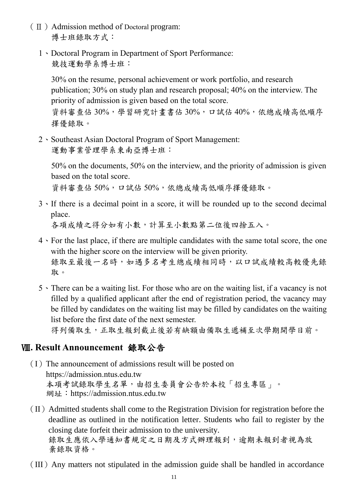- (Ⅱ)Admission method of Doctoral program: 博士班錄取方式:
	- 1、Doctoral Program in Department of Sport Performance: 競技運動學系博士班:

30% on the resume, personal achievement or work portfolio, and research publication; 30% on study plan and research proposal; 40% on the interview. The priority of admission is given based on the total score.

資料審查佔 30%,學習研究計畫書佔 30%,口試佔 40%,依總成績高低順序 擇優錄取。

2、Southeast Asian Doctoral Program of Sport Management: 運動事業管理學系東南亞博士班:

50% on the documents, 50% on the interview, and the priority of admission is given based on the total score.

資料審查佔 50%,口試佔 50%,依總成績高低順序擇優錄取。

3、If there is a decimal point in a score, it will be rounded up to the second decimal place.

各項成績之得分如有小數,計算至小數點第二位後四捨五入。

- 4、For the last place, if there are multiple candidates with the same total score, the one with the higher score on the interview will be given priority. 錄取至最後一名時,如遇多名考生總成績相同時,以口試成績較高較優先錄 取。
- 5、There can be a waiting list. For those who are on the waiting list, if a vacancy is not filled by a qualified applicant after the end of registration period, the vacancy may be filled by candidates on the waiting list may be filled by candidates on the waiting list before the first date of the next semester. 得列備取生,正取生報到截止後若有缺額由備取生遞補至次學期開學日前。

#### Ⅷ**. Result Announcement** 錄取公告

- $(I)$  The announcement of admissions result will be posted on [https://admission.ntus.edu.tw](https://admission.ntupes.edu.tw/index.php) 本項考試錄取學生名單,由招生委員會公告於本校「招生專區」。 網址: [https://admission.ntus.edu.tw](https://admission.ntupes.edu.tw/index.php)
- $(II)$  Admitted students shall come to the Registration Division for registration before the deadline as outlined in the notification letter. Students who fail to register by the closing date forfeit their admission to the university. 錄取生應依入學通知書規定之日期及方式辦理報到,逾期未報到者視為放 棄錄取資格。
- (III)Any matters not stipulated in the admission guide shall be handled in accordance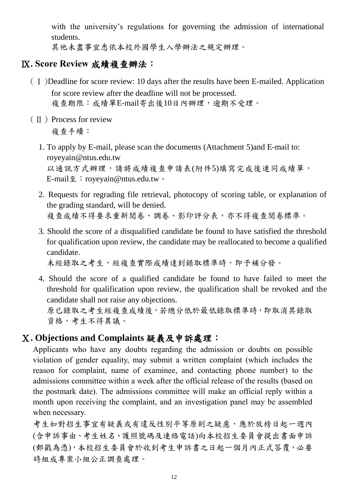with the university's regulations for governing the admission of international students.

其他未盡事宜悉依本校外國學生入學辦法之規定辦理。

#### Ⅸ**. Score Review** 成績複查辦法:

- (Ⅰ)Deadline for score review: 10 days after the results have been E-mailed. Application for score review after the deadline will not be processed. 複查期限:成績單E-mail寄出後10日內辦理,逾期不受理。
- $(\Pi)$  Process for review 複查手續:
	- 1. To apply by E-mail, please scan the documents (Attachment 5)and E-mail to: royeyain@ntus.edu.tw 以通訊方式辦理,請將成績複查申請表(附件5)填寫完成後連同成績單, E-mail至:royeyain@ntus.edu.tw。
	- 2. Requests for regrading file retrieval, photocopy of scoring table, or explanation of the grading standard, will be denied. 複查成績不得要求重新閱卷、調卷、影印評分表,亦不得複查閱卷標準。
	- 3. Should the score of a disqualified candidate be found to have satisfied the threshold for qualification upon review, the candidate may be reallocated to become a qualified candidate.

未經錄取之考生,經複查實際成績達到錄取標準時,即予補分發。

4. Should the score of a qualified candidate be found to have failed to meet the threshold for qualification upon review, the qualification shall be revoked and the candidate shall not raise any objections.

原已錄取之考生經複查成績後,若總分低於最低錄取標準時,即取消其錄取 資格,考生不得異議。

#### Ⅹ**. Objections and Complaints** 疑義及申訴處理:

Applicants who have any doubts regarding the admission or doubts on possible violation of gender equality, may submit a written complaint (which includes the reason for complaint, name of examinee, and contacting phone number) to the admissions committee within a week after the official release of the results (based on the postmark date). The admissions committee will make an official reply within a month upon receiving the complaint, and an investigation panel may be assembled when necessary.

考生如對招生事宜有疑義或有違反性別平等原則之疑慮,應於放榜日起一週內 (含申訴事由、考生姓名、護照號碼及連絡電話)向本校招生委員會提出書面申訴 (郵戳為憑),本校招生委員會於收到考生申訴書之日起一個月內正式答覆,必要 時組成專案小組公正調查處理。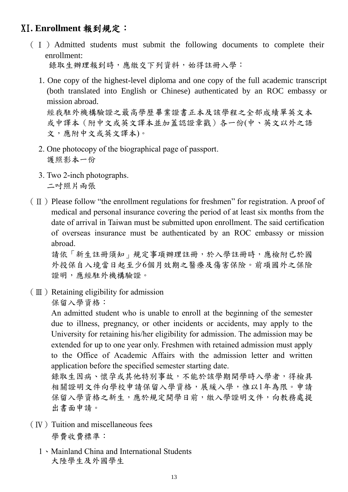#### XI**. Enrollment** 報到規定:

- (Ⅰ)Admitted students must submit the following documents to complete their enrollment: 錄取生辦理報到時,應繳交下列資料,始得註冊入學:
	- 1. One copy of the highest-level diploma and one copy of the full academic transcript (both translated into English or Chinese) authenticated by an ROC embassy or mission abroad. 經我駐外機構驗證之最高學歷畢業證書正本及該學程之全部成績單英文本

或中譯本(附中文或英文譯本並加蓋認證章戳)各一份(中、英文以外之語 文,應附中文或英文譯本)。

- 2. One photocopy of the biographical page of passport. 護照影本一份
- 3. Two 2-inch photographs. 二吋照片兩張
- $(\Pi)$  Please follow "the enrollment regulations for freshmen" for registration. A proof of medical and personal insurance covering the period of at least six months from the date of arrival in Taiwan must be submitted upon enrollment. The said certification of overseas insurance must be authenticated by an ROC embassy or mission abroad.

請依「新生註冊須知」規定事項辦理註冊,於入學註冊時,應檢附已於國 外投保自入境當日起至少6個月效期之醫療及傷害保險。前項國外之保險 證明,應經駐外機構驗證。

 $(\mathbb{I})$  Retaining eligibility for admission

保留入學資格:

An admitted student who is unable to enroll at the beginning of the semester due to illness, pregnancy, or other incidents or accidents, may apply to the University for retaining his/her eligibility for admission. The admission may be extended for up to one year only. Freshmen with retained admission must apply to the Office of Academic Affairs with the admission letter and written application before the specified semester starting date.

錄取生因病、懷孕或其他特別事故,不能於該學期開學時入學者,得檢具 相關證明文件向學校申請保留入學資格,展緩入學,惟以1年為限。申請 保留入學資格之新生,應於規定開學日前,繳入學證明文件,向教務處提 出書面申請。

- $(IV)$  Tuition and miscellaneous fees 學費收費標準:
	- 1、Mainland China and International Students 大陸學生及外國學生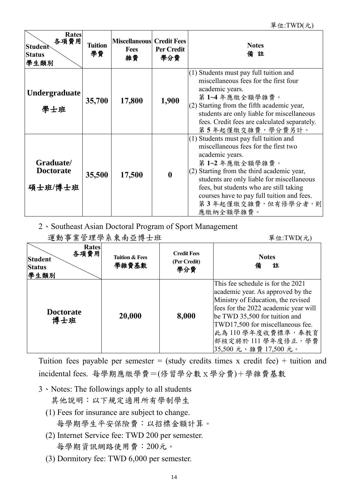| Rates<br>各項費用<br><b>Student</b><br><b>Status</b><br>學生類別 | <b>Tuition</b><br>學費 | <b>Miscellaneous</b> Credit Fees<br><b>Fees</b><br>雜費 | <b>Per Credit</b><br>學分費 | <b>Notes</b><br>備註                                                                                                                                                                                                                                                                                                                             |
|----------------------------------------------------------|----------------------|-------------------------------------------------------|--------------------------|------------------------------------------------------------------------------------------------------------------------------------------------------------------------------------------------------------------------------------------------------------------------------------------------------------------------------------------------|
| <b>Undergraduate</b><br>學士班                              | 35,700               | 17,800                                                | 1,900                    | $(1)$ Students must pay full tuition and<br>miscellaneous fees for the first four<br>academic years.<br>第1~4年應繳全額學雜費。<br>$(2)$ Starting from the fifth academic year,<br>students are only liable for miscellaneous<br>fees. Credit fees are calculated separately.<br>第5年起僅繳交雜費,學分費另計。                                                        |
| Graduate/<br><b>Doctorate</b><br>碩士班/博士班                 | 35,500               | 17,500                                                | $\boldsymbol{0}$         | $(1)$ Students must pay full tuition and<br>miscellaneous fees for the first two<br>academic years.<br>第1~2年應繳全額學雜費。<br>$(2)$ Starting from the third academic year,<br>students are only liable for miscellaneous<br>fees, but students who are still taking<br>courses have to pay full tuition and fees.<br>第3年起僅繳交雜費,但有修學分者,則<br>應繳納全額學雜費。 |

2、Southeast Asian Doctoral Program of Sport Management

| 運動事業管理學系東南亞博士班                                                  |                                    |                                           | 單位:TWD(元)                                                                                                                                                                                                                                                                               |
|-----------------------------------------------------------------|------------------------------------|-------------------------------------------|-----------------------------------------------------------------------------------------------------------------------------------------------------------------------------------------------------------------------------------------------------------------------------------------|
| <b>Rates</b><br>各項費用<br><b>Student</b><br><b>Status</b><br>學生類別 | <b>Tuition &amp; Fees</b><br>學雜費基數 | <b>Credit Fees</b><br>(Per Credit)<br>學分費 | <b>Notes</b><br>備<br>註                                                                                                                                                                                                                                                                  |
| <b>Doctorate</b><br>博士班                                         | 20,000                             | 8,000                                     | This fee schedule is for the 2021<br>academic year. As approved by the<br>Ministry of Education, the revised<br>fees for the 2022 academic year will<br>be TWD 35,500 for tuition and<br>TWD17,500 for miscellaneous fee.<br>此為110學年度收費標準,奉教育<br>部核定將於111學年度修正,學費<br>35,500元、雜費17,500元。 |

Tuition fees payable per semester  $=$  (study credits times x credit fee)  $+$  tuition and incidental fees. 每學期應繳學費=(修習學分數x學分費)+學雜費基數

3、Notes: The followings apply to all students

其他說明:以下規定適用所有學制學生

- (1) Fees for insurance are subject to change. 每學期學生平安保險費:以招標金額計算。
- (2) Internet Service fee: TWD 200 per semester. 每學期資訊網路使用費:200元。
- (3) Dormitory fee: TWD 6,000 per semester.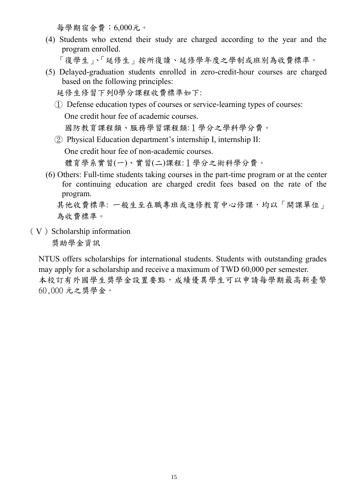每學期宿舍費:6,000元。

(4) Students who extend their study are charged according to the year and the program enrolled.

「復學生」、「延修生」按所復讀、延修學年度之學制或班別為收費標準。

(5) Delayed-graduation students enrolled in zero-credit-hour courses are charged based on the following principles:

延修生修習下列0學分課程收費標準如下:

- ① Defense education types of courses or service-learning types of courses: One credit hour fee of academic courses. 國防教育課程類、服務學習課程類:1學分之學科學分費。
- ② Physical Education department's internship I, internship II:

One credit hour fee of non-academic courses.

體育學系實習(一)、實習(二)課程:1學分之術科學分費。

(6) Others: Full-time students taking courses in the part-time program or at the center for continuing education are charged credit fees based on the rate of the program.

其他收費標準:一般生至在職專班或進修教育中心修課,均以「開課單位」 為收費標準。

 $(V)$  Scholarship information

獎助學金資訊

NTUS offers scholarships for international students. Students with outstanding grades may apply for a scholarship and receive a maximum of TWD 60,000 per semester. 本校訂有外國學生獎學金設置要點,成績優異學生可以申請每學期最高新臺幣 60,000 元之獎學金。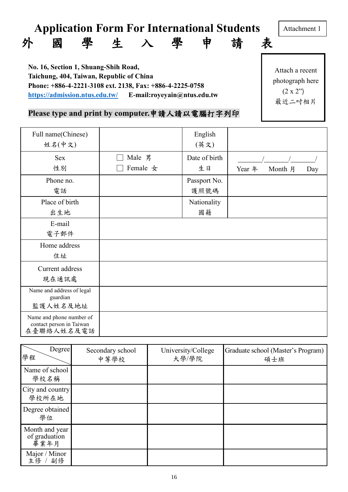# **Application Form For International Students** 外國學生入學申請表

Attachment 1

**No. 16, Section 1, Shuang-Shih Road, Taichung, 404, Taiwan, Republic of China Phone: +886-4-2221-3108 ext. 2138, Fax: +886-4-2225-0758 <https://admission.ntus.edu.tw/>E-mail:royeyain@ntus.edu.tw**

Attach a recent photograph here  $(2 \times 2")$ 最近二吋相片

#### **Please type and print by computer.**申請人請以電腦打字列印

| Full name(Chinese)<br>姓名(中文)                                       |                    | English<br>(英文)      |                          |
|--------------------------------------------------------------------|--------------------|----------------------|--------------------------|
| <b>Sex</b><br>性別                                                   | Male 男<br>Female 女 | Date of birth<br>生日  | Year 年<br>Month 月<br>Day |
| Phone no.<br>電話                                                    |                    | Passport No.<br>護照號碼 |                          |
| Place of birth<br>出生地                                              |                    | Nationality<br>國籍    |                          |
| E-mail<br>電子郵件                                                     |                    |                      |                          |
| Home address<br>住址                                                 |                    |                      |                          |
| Current address<br>現在通訊處                                           |                    |                      |                          |
| Name and address of legal<br>guardian<br>監護人姓名及地址                  |                    |                      |                          |
| Name and phone number of<br>contact person in Taiwan<br>在臺聯絡人姓名及電話 |                    |                      |                          |

| Degree<br>學程                            | Secondary school<br>中等學校 | University/College<br>大學/學院 | Graduate school (Master's Program)<br>碩士班 |
|-----------------------------------------|--------------------------|-----------------------------|-------------------------------------------|
| Name of school<br>學校名稱                  |                          |                             |                                           |
| City and country<br>學校所在地               |                          |                             |                                           |
| Degree obtained<br>學位                   |                          |                             |                                           |
| Month and year<br>of graduation<br>畢業年月 |                          |                             |                                           |
| Major / Minor<br>主修 /<br>副修             |                          |                             |                                           |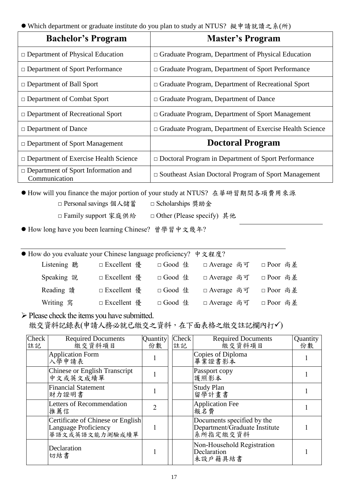● Which department or graduate institute do you plan to study at NTUS? 擬申請就讀之系(所)

| <b>Bachelor's Program</b>                                   | <b>Master's Program</b>                                        |
|-------------------------------------------------------------|----------------------------------------------------------------|
| $\Box$ Department of Physical Education                     | $\Box$ Graduate Program, Department of Physical Education      |
| $\Box$ Department of Sport Performance                      | $\Box$ Graduate Program, Department of Sport Performance       |
| $\Box$ Department of Ball Sport                             | $\Box$ Graduate Program, Department of Recreational Sport      |
| $\Box$ Department of Combat Sport                           | $\Box$ Graduate Program, Department of Dance                   |
| $\Box$ Department of Recreational Sport                     | $\Box$ Graduate Program, Department of Sport Management        |
| $\Box$ Department of Dance                                  | $\Box$ Graduate Program, Department of Exercise Health Science |
| $\Box$ Department of Sport Management                       | <b>Doctoral Program</b>                                        |
| $\Box$ Department of Exercise Health Science                | $\Box$ Doctoral Program in Department of Sport Performance     |
| $\Box$ Department of Sport Information and<br>Communication | $\Box$ Southeast Asian Doctoral Program of Sport Management    |

● How will you finance the major portion of your study at NTUS? 在華研習期間各項費用來源

- □ Personal savings 個人儲蓄 □ Scholarships 獎助金
- □ Family support 家庭供給 □ Other (Please specify) 其他

● How long have you been learning Chinese? 曾學習中文幾年?

| ● How do you evaluate your Chinese language proficiency? 中文程度? |               |          |              |           |
|----------------------------------------------------------------|---------------|----------|--------------|-----------|
| Listening 聽                                                    | □ Excellent 優 | □ Good 佳 | □ Average 尚可 | □ Poor 尚差 |
| Speaking 說                                                     | □ Excellent 優 | □ Good 佳 | □ Average 尚可 | □ Poor 尚差 |
| Reading 讀                                                      | □ Excellent 優 | □ Good 佳 | □ Average 尚可 | □ Poor 尚差 |
| Writing 寫                                                      | □ Excellent 優 | □ Good 佳 | □ Average 尚可 | □ Poor 尚差 |

➢Please check the items you have submitted. 繳交資料記錄表(申請人務必就已繳交之資料,在下面表格之繳交註記欄內打✓)

| Check<br>註記 | <b>Required Documents</b><br>繳交資料項目                                         | Quantity<br>份數 | <b>Check</b><br>註記 | <b>Required Documents</b><br>繳交資料項目                                     | Quantity<br>份數 |
|-------------|-----------------------------------------------------------------------------|----------------|--------------------|-------------------------------------------------------------------------|----------------|
|             | <b>Application Form</b><br>入學申請表                                            |                |                    | Copies of Diploma<br>畢業證書影本                                             |                |
|             | Chinese or English Transcript<br>中文或英文成績單                                   |                |                    | Passport copy<br>護照影本                                                   |                |
|             | <b>Financial Statement</b><br>財力證明書                                         |                |                    | <b>Study Plan</b><br>留學計畫書                                              |                |
|             | Letters of Recommendation<br>推薦信                                            | $\overline{2}$ |                    | <b>Application Fee</b><br>報名費                                           |                |
|             | Certificate of Chinese or English<br>Language Proficiency<br>華語文或英語文能力測驗成績單 |                |                    | Documents specified by the<br>Department/Graduate Institute<br>系所指定缴交資料 |                |
|             | Declaration<br>切結書                                                          |                |                    | Non-Household Registration<br>Declaration<br>未設戶籍具結書                    |                |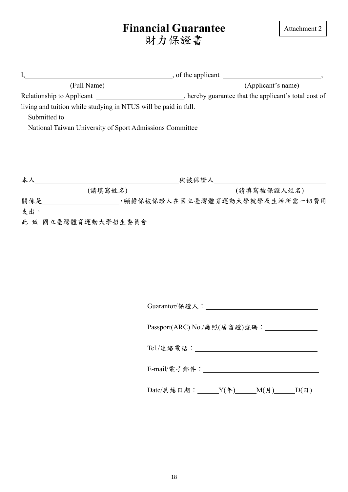# **Financial Guarantee** 財力保證書

| I,           |                                                                 | $\blacksquare$ , of the applicant $\blacksquare$ , $\blacksquare$                                                |
|--------------|-----------------------------------------------------------------|------------------------------------------------------------------------------------------------------------------|
| (Full Name)  |                                                                 | (Applicant's name)                                                                                               |
|              |                                                                 | Relationship to Applicant _________________________________, hereby guarantee that the applicant's total cost of |
|              | living and tuition while studying in NTUS will be paid in full. |                                                                                                                  |
| Submitted to |                                                                 |                                                                                                                  |
|              | National Taiwan University of Sport Admissions Committee        |                                                                                                                  |
|              |                                                                 |                                                                                                                  |
|              |                                                                 |                                                                                                                  |
|              |                                                                 |                                                                                                                  |
|              |                                                                 |                                                                                                                  |
|              | (請填寫姓名)                                                         | (請填寫被保證人姓名)                                                                                                      |
|              |                                                                 | 關係是______________________,願擔保被保證人在國立臺灣體育運動大學就學及生活所需一切費用                                                          |
| 支出。          |                                                                 |                                                                                                                  |
|              | 此 致 國立臺灣體育運動大學招生委員會                                             |                                                                                                                  |
|              |                                                                 |                                                                                                                  |
|              |                                                                 |                                                                                                                  |
|              |                                                                 |                                                                                                                  |
|              |                                                                 |                                                                                                                  |
|              |                                                                 |                                                                                                                  |
|              |                                                                 |                                                                                                                  |
|              |                                                                 |                                                                                                                  |
|              |                                                                 |                                                                                                                  |
|              |                                                                 | Guarantor/保證人:________                                                                                           |
|              |                                                                 | Passport(ARC) No./護照(居留證)號碼: _______________                                                                     |
|              |                                                                 |                                                                                                                  |
|              |                                                                 |                                                                                                                  |
|              |                                                                 |                                                                                                                  |
|              |                                                                 |                                                                                                                  |
|              |                                                                 |                                                                                                                  |
|              |                                                                 |                                                                                                                  |
|              |                                                                 |                                                                                                                  |
|              |                                                                 | Date/具結日期: _____Y(年)_____M(月)_____D(日)                                                                           |
|              |                                                                 |                                                                                                                  |
|              |                                                                 |                                                                                                                  |
|              |                                                                 |                                                                                                                  |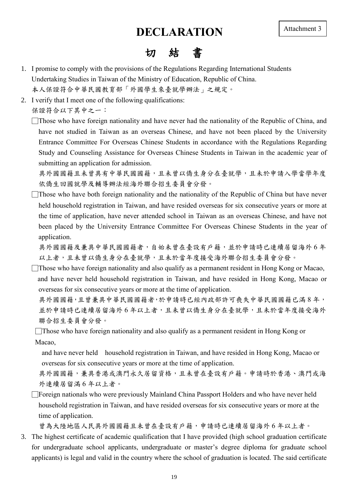#### **DECLARATION**

### 切結書

- 1. I promise to comply with the provisions of the Regulations Regarding International Students Undertaking Studies in Taiwan of the Ministry of Education, Republic of China. 本人保證符合中華民國教育部「外國學生來臺就學辦法」之規定。
- 2. I verify that I meet one of the following qualifications:

保證符合以下其中之一:

 $\Box$ Those who have foreign nationality and have never had the nationality of the Republic of China, and have not studied in Taiwan as an overseas Chinese, and have not been placed by the University Entrance Committee For Overseas Chinese Students in accordance with the Regulations Regarding Study and Counseling Assistance for Overseas Chinese Students in Taiwan in the academic year of submitting an application for admission.

具外國國籍且未曾具有申華民國國籍,且未曾以僑生身分在臺就學,且未於申請入學當學年度 依僑生回國就學及輔導辦法經海外聯合招生委員會分發。

 $\Box$ Those who have both foreign nationality and the nationality of the Republic of China but have never held household registration in Taiwan, and have resided overseas for six consecutive years or more at the time of application, have never attended school in Taiwan as an overseas Chinese, and have not been placed by the University Entrance Committee For Overseas Chinese Students in the year of application.

具外國國籍及兼具中華民國國籍者,自始未曾在臺設有戶籍,並於申請時已連續居留海外6年 以上者,且未曾以僑生身分在臺就學,且未於當年度接受海外聯合招生委員會分發。

- $\Box$ Those who have foreign nationality and also qualify as a permanent resident in Hong Kong or Macao, and have never held household registration in Taiwan, and have resided in Hong Kong, Macao or overseas for six consecutive years or more at the time of application.
	- 具外國國籍,且曾兼具中華民國國籍者,於申請時已經內政部許可喪失中華民國國籍已滿8年, 並於申請時已連續居留海外 6年以上者,且未曾以僑生身分在臺就學,且未於當年度接受海外 聯合招生委員會分發。

 $\Box$  Those who have foreign nationality and also qualify as a permanent resident in Hong Kong or Macao,

and have never held household registration in Taiwan, and have resided in Hong Kong, Macao or overseas for six consecutive years or more at the time of application.

具外國國籍,兼具香港或澳門永久居留資格,且未曾在臺設有戶籍。申請時於香港、澳門或海 外連續居留滿 6 年以上者。

□Foreign nationals who were previously Mainland China Passport Holders and who have never held household registration in Taiwan, and have resided overseas for six consecutive years or more at the time of application.

曾為大陸地區人民具外國國籍且未曾在臺設有戶籍,申請時已連續居留海外 6 年以上者。

3. The highest certificate of academic qualification that I have provided (high school graduation certificate for undergraduate school applicants, undergraduate or master's degree diploma for graduate school applicants) is legal and valid in the country where the school of graduation is located. The said certificate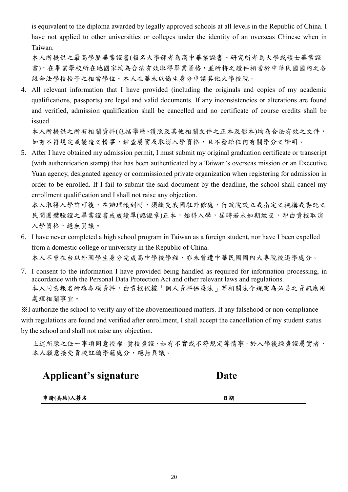is equivalent to the diploma awarded by legally approved schools at all levels in the Republic of China. I have not applied to other universities or colleges under the identity of an overseas Chinese when in Taiwan.

本人所提供之最高學歷畢業證書(報名大學部者為高中畢業證書、研究所者為大學或碩士畢業證 書),在畢業學校所在地國家均為合法有效取得畢業資格,並所持之證件相當於中華民國國內之各 級合法學校授予之相當學位。本人在華未以僑生身分申請其他大學校院。

4. All relevant information that I have provided (including the originals and copies of my academic qualifications, passports) are legal and valid documents. If any inconsistencies or alterations are found and verified, admission qualification shall be cancelled and no certificate of course credits shall be issued.

本人所提供之所有相關資料(包括學歷、護照及其他相關文件之正本及影本)均為合法有效之文件, 如有不符規定或變造之情事,經查屬實及取消入學資格,且不發給任何有關學分之證明。

5. After I have obtained my admission permit, I must submit my original graduation certificate or transcript (with authentication stamp) that has been authenticated by a Taiwan's overseas mission or an Executive Yuan agency, designated agency or commissioned private organization when registering for admission in order to be enrolled. If I fail to submit the said document by the deadline, the school shall cancel my enrollment qualification and I shall not raise any objection.

本人取得入學許可後,在辦理報到時,須繳交我國駐外館處、行政院設立或指定之機構或委託之 民間團體驗證之畢業證書或成績單(認證章)正本,始得入學,居時若未如期繳交,即由貴校取消 入學資格,絕無異議。

- 6. I have never completed a high school program in Taiwan as a foreign student, nor have I been expelled from a domestic college or university in the Republic of China. 本人不曾在台以外國學生身分完成高中學校學程,亦未曾遭中華民國國內大專院校退學處分。
- 7. I consent to the information I have provided being handled as required for information processing, in accordance with the Personal Data Protection Act and other relevant laws and regulations. 本人同意報名所填各項資料,由貴校依據「個人資料保護法」等相關法令規定為必要之資訊應用 處理相關事宜。

※I authorize the school to verify any of the abovementioned matters. If any falsehood or non-compliance with regulations are found and verified after enrollment, I shall accept the cancellation of my student status by the school and shall not raise any objection.

上述所陳之任一事項同意授權 貴校查證,如有不實或不符規定等情事,於入學後經查證屬實者, 本人願意接受貴校註銷學籍處分,絕無異議。

**Applicant's signature Date**

申請**(**具結**)**人簽名日期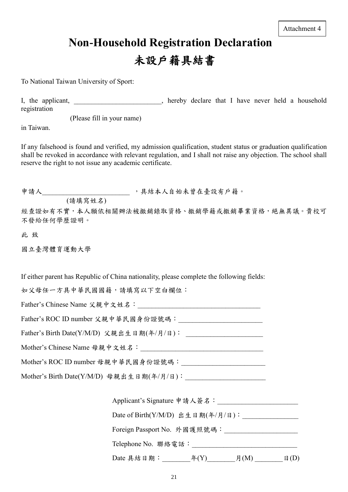# **Non-Household Registration Declaration** 未設戶籍具結書

To National Taiwan University of Sport:

I, the applicant, The applicant, the applicant, the applicant of the set of the set of the set of the set of the set of the set of the set of the set of the set of the set of the set of the set of the set of the set of the registration

(Please fill in your name)

in Taiwan.

If any falsehood is found and verified, my admission qualification, student status or graduation qualification shall be revoked in accordance with relevant regulation, and I shall not raise any objection. The school shall reserve the right to not issue any academic certificate.

申請人\_\_\_\_\_\_\_\_\_\_\_\_\_\_\_\_\_\_\_\_\_\_\_\_\_\_\_\_,具結本人自始未曾在臺設有戶籍。

(請填寫姓名)

經查證如有不實,本人願依相關辦法被撤銷錄取資格、撤銷學籍或撤銷畢業資格,絕無異議。貴校可 不發給任何學歷證明。

此 致

國立臺灣體育運動大學

If either parent has Republic of China nationality, please complete the following fields:

如父母任一方具中華民國國籍,請填寫以下空白欄位:

Father's Chinese Name 父親中文姓名:

Father's ROC ID number 父親中華民國身份證號碼:

Father's Birth Date(Y/M/D) 父親出生日期(年/月/日):

Mother's Chinese Name 母親中文姓名:

Mother's ROC ID number 母親中華民國身份證號碼:

Mother's Birth Date(Y/M/D) 母親出生日期(年/月/日):

| Applicant's Signature 申請人簽名:           |  |
|----------------------------------------|--|
| Date of Birth(Y/M/D) 出生日期(年/月/日):      |  |
| Foreign Passport No. 外國護照號碼:           |  |
| Telephone No. 聯絡電話:                    |  |
| Date 具結日期:<br>$\mathcal{F}(Y)$<br>月(M) |  |